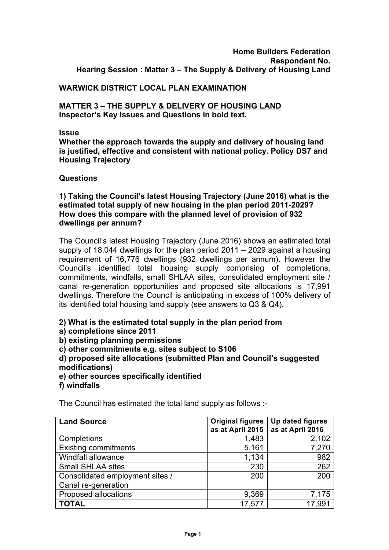### **Home Builders Federation Respondent No. Hearing Session : Matter 3 – The Supply & Delivery of Housing Land**

# **WARWICK DISTRICT LOCAL PLAN EXAMINATION**

### **MATTER 3 – THE SUPPLY & DELIVERY OF HOUSING LAND Inspector's Key Issues and Questions in bold text.**

#### **Issue**

**Whether the approach towards the supply and delivery of housing land is justified, effective and consistent with national policy. Policy DS7 and Housing Trajectory**

#### **Questions**

**1) Taking the Council's latest Housing Trajectory (June 2016) what is the estimated total supply of new housing in the plan period 2011-2029? How does this compare with the planned level of provision of 932 dwellings per annum?**

The Council's latest Housing Trajectory (June 2016) shows an estimated total supply of 18,044 dwellings for the plan period 2011 – 2029 against a housing requirement of 16,776 dwellings (932 dwellings per annum). However the Council's identified total housing supply comprising of completions, commitments, windfalls, small SHLAA sites, consolidated employment site / canal re-generation opportunities and proposed site allocations is 17,991 dwellings. Therefore the Council is anticipating in excess of 100% delivery of its identified total housing land supply (see answers to Q3 & Q4).

### **2) What is the estimated total supply in the plan period from**

- **a) completions since 2011**
- **b) existing planning permissions**
- **c) other commitments e.g. sites subject to S106**

**d) proposed site allocations (submitted Plan and Council's suggested modifications)**

- **e) other sources specifically identified**
- **f) windfalls**

The Council has estimated the total land supply as follows :-

| <b>Land Source</b>              | <b>Original figures</b> | Up dated figures |
|---------------------------------|-------------------------|------------------|
|                                 | as at April 2015        | as at April 2016 |
| Completions                     | 1,483                   | 2,102            |
| <b>Existing commitments</b>     | 5,161                   | 7,270            |
| Windfall allowance              | 1,134                   | 982              |
| <b>Small SHLAA sites</b>        | 230                     | 262              |
| Consolidated employment sites / | 200                     | 200              |
| Canal re-generation             |                         |                  |
| Proposed allocations            | 9,369                   | 7,175            |
| <b>TOTAL</b>                    | 17,577                  | 17,991           |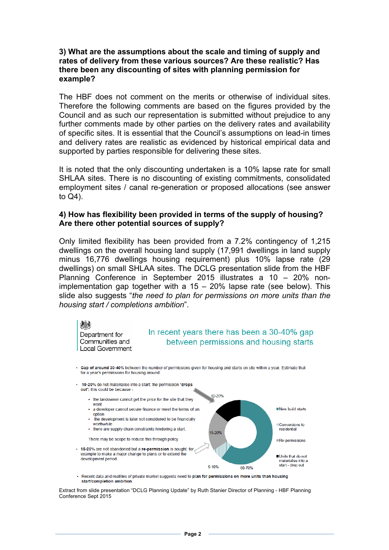### **3) What are the assumptions about the scale and timing of supply and rates of delivery from these various sources? Are these realistic? Has there been any discounting of sites with planning permission for example?**

The HBF does not comment on the merits or otherwise of individual sites. Therefore the following comments are based on the figures provided by the Council and as such our representation is submitted without prejudice to any further comments made by other parties on the delivery rates and availability of specific sites. It is essential that the Council's assumptions on lead-in times and delivery rates are realistic as evidenced by historical empirical data and supported by parties responsible for delivering these sites.

It is noted that the only discounting undertaken is a 10% lapse rate for small SHLAA sites. There is no discounting of existing commitments, consolidated employment sites / canal re-generation or proposed allocations (see answer to Q4).

### **4) How has flexibility been provided in terms of the supply of housing? Are there other potential sources of supply?**

Only limited flexibility has been provided from a 7.2% contingency of 1,215 dwellings on the overall housing land supply (17,991 dwellings in land supply minus 16,776 dwellings housing requirement) plus 10% lapse rate (29 dwellings) on small SHLAA sites. The DCLG presentation slide from the HBF Planning Conference in September 2015 illustrates a 10 – 20% nonimplementation gap together with a 15 – 20% lapse rate (see below). This slide also suggests "*the need to plan for permissions on more units than the housing start / completions ambition*".



Extract from slide presentation "DCLG Planning Update" by Ruth Stanier Director of Planning - HBF Planning Conference Sept 2015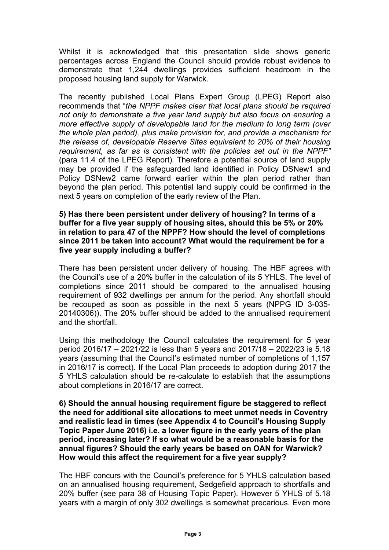Whilst it is acknowledged that this presentation slide shows generic percentages across England the Council should provide robust evidence to demonstrate that 1,244 dwellings provides sufficient headroom in the proposed housing land supply for Warwick.

The recently published Local Plans Expert Group (LPEG) Report also recommends that "*the NPPF makes clear that local plans should be required not only to demonstrate a five year land supply but also focus on ensuring a more effective supply of developable land for the medium to long term (over the whole plan period), plus make provision for, and provide a mechanism for the release of, developable Reserve Sites equivalent to 20% of their housing requirement, as far as is consistent with the policies set out in the NPPF"*  (para 11.4 of the LPEG Report)*.* Therefore a potential source of land supply may be provided if the safeguarded land identified in Policy DSNew1 and Policy DSNew2 came forward earlier within the plan period rather than beyond the plan period. This potential land supply could be confirmed in the next 5 years on completion of the early review of the Plan.

#### **5) Has there been persistent under delivery of housing? In terms of a buffer for a five year supply of housing sites, should this be 5% or 20% in relation to para 47 of the NPPF? How should the level of completions since 2011 be taken into account? What would the requirement be for a five year supply including a buffer?**

There has been persistent under delivery of housing. The HBF agrees with the Council's use of a 20% buffer in the calculation of its 5 YHLS. The level of completions since 2011 should be compared to the annualised housing requirement of 932 dwellings per annum for the period. Any shortfall should be recouped as soon as possible in the next 5 years (NPPG ID 3-035- 20140306)). The 20% buffer should be added to the annualised requirement and the shortfall.

Using this methodology the Council calculates the requirement for 5 year period 2016/17 – 2021/22 is less than 5 years and 2017/18 – 2022/23 is 5.18 years (assuming that the Council's estimated number of completions of 1,157 in 2016/17 is correct). If the Local Plan proceeds to adoption during 2017 the 5 YHLS calculation should be re-calculate to establish that the assumptions about completions in 2016/17 are correct.

**6) Should the annual housing requirement figure be staggered to reflect the need for additional site allocations to meet unmet needs in Coventry and realistic lead in times (see Appendix 4 to Council's Housing Supply Topic Paper June 2016) i.e. a lower figure in the early years of the plan period, increasing later? If so what would be a reasonable basis for the annual figures? Should the early years be based on OAN for Warwick? How would this affect the requirement for a five year supply?**

The HBF concurs with the Council's preference for 5 YHLS calculation based on an annualised housing requirement, Sedgefield approach to shortfalls and 20% buffer (see para 38 of Housing Topic Paper). However 5 YHLS of 5.18 years with a margin of only 302 dwellings is somewhat precarious. Even more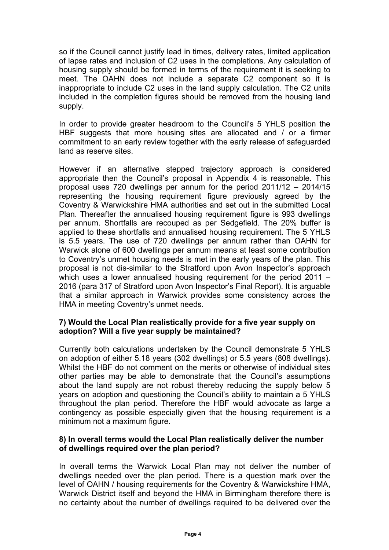so if the Council cannot justify lead in times, delivery rates, limited application of lapse rates and inclusion of C2 uses in the completions. Any calculation of housing supply should be formed in terms of the requirement it is seeking to meet. The OAHN does not include a separate C2 component so it is inappropriate to include C2 uses in the land supply calculation. The C2 units included in the completion figures should be removed from the housing land supply.

In order to provide greater headroom to the Council's 5 YHLS position the HBF suggests that more housing sites are allocated and / or a firmer commitment to an early review together with the early release of safeguarded land as reserve sites.

However if an alternative stepped trajectory approach is considered appropriate then the Council's proposal in Appendix 4 is reasonable. This proposal uses 720 dwellings per annum for the period 2011/12 – 2014/15 representing the housing requirement figure previously agreed by the Coventry & Warwickshire HMA authorities and set out in the submitted Local Plan. Thereafter the annualised housing requirement figure is 993 dwellings per annum. Shortfalls are recouped as per Sedgefield. The 20% buffer is applied to these shortfalls and annualised housing requirement. The 5 YHLS is 5.5 years. The use of 720 dwellings per annum rather than OAHN for Warwick alone of 600 dwellings per annum means at least some contribution to Coventry's unmet housing needs is met in the early years of the plan. This proposal is not dis-similar to the Stratford upon Avon Inspector's approach which uses a lower annualised housing requirement for the period 2011 – 2016 (para 317 of Stratford upon Avon Inspector's Final Report). It is arguable that a similar approach in Warwick provides some consistency across the HMA in meeting Coventry's unmet needs.

# **7) Would the Local Plan realistically provide for a five year supply on adoption? Will a five year supply be maintained?**

Currently both calculations undertaken by the Council demonstrate 5 YHLS on adoption of either 5.18 years (302 dwellings) or 5.5 years (808 dwellings). Whilst the HBF do not comment on the merits or otherwise of individual sites other parties may be able to demonstrate that the Council's assumptions about the land supply are not robust thereby reducing the supply below 5 years on adoption and questioning the Council's ability to maintain a 5 YHLS throughout the plan period. Therefore the HBF would advocate as large a contingency as possible especially given that the housing requirement is a minimum not a maximum figure.

# **8) In overall terms would the Local Plan realistically deliver the number of dwellings required over the plan period?**

In overall terms the Warwick Local Plan may not deliver the number of dwellings needed over the plan period. There is a question mark over the level of OAHN / housing requirements for the Coventry & Warwickshire HMA, Warwick District itself and beyond the HMA in Birmingham therefore there is no certainty about the number of dwellings required to be delivered over the